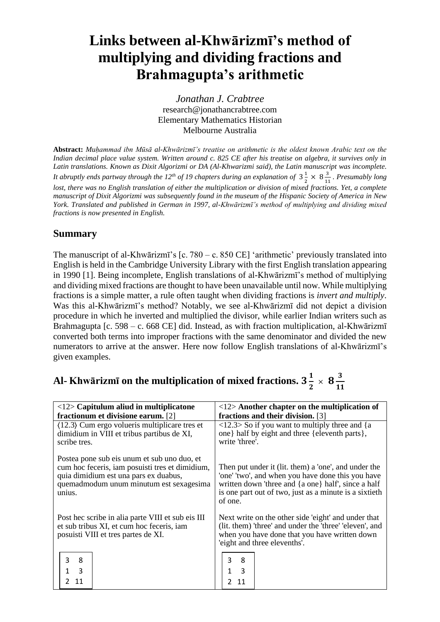# **Links between al-Khwārizmī's method of multiplying and dividing fractions and Brahmagupta's arithmetic**

*Jonathan J. Crabtree* research@jonathancrabtree.com Elementary Mathematics Historian Melbourne Australia

**Abstract:** *Muḥammad ibn Mūsā al-Khwārizmī's treatise on arithmetic is the oldest known Arabic text on the Indian decimal place value system. Written around c. 825 CE after his treatise on algebra, it survives only in Latin translations. Known as Dixit Algorizmi or DA (Al-Khwarizmi said), the Latin manuscript was incomplete.* It abruptly ends partway through the 12<sup>th</sup> of 19 chapters during an explanation of  $3\frac{1}{2}$  $\frac{1}{2} \times 8\frac{3}{12}$  $\frac{3}{11}$ . *Presumably long lost, there was no English translation of either the multiplication or division of mixed fractions. Yet, a complete manuscript of Dixit Algorizmi was subsequently found in the museum of the Hispanic Society of America in New York. Translated and published in German in 1997, al-Khwārizmī's method of multiplying and dividing mixed fractions is now presented in English.*

# **Summary**

The manuscript of al-Khwārizmī's [c. 780 – c. 850 CE] 'arithmetic' previously translated into English is held in the Cambridge University Library with the first English translation appearing in 1990 [1]. Being incomplete, English translations of al-Khwārizmī's method of multiplying and dividing mixed fractions are thought to have been unavailable until now. While multiplying fractions is a simple matter, a rule often taught when dividing fractions is *invert and multiply*. Was this al-Khwārizmī's method? Notably, we see al-Khwārizmī did not depict a division procedure in which he inverted and multiplied the divisor, while earlier Indian writers such as Brahmagupta [c. 598 – c. 668 CE] did. Instead, as with fraction multiplication, al-Khwārizmī converted both terms into improper fractions with the same denominator and divided the new numerators to arrive at the answer. Here now follow English translations of al-Khwārizmī's given examples.

| Al- Khwārizmī on the multiplication of mixed fractions. 3 $\frac{1}{2}\times \, {\bf 8} \frac{3}{11}$ |  |  |
|-------------------------------------------------------------------------------------------------------|--|--|
|-------------------------------------------------------------------------------------------------------|--|--|

| $\langle 12 \rangle$ Capitulum aliud in multiplicatone                                                                                                                                                                                                                                                                                   | $\langle 12 \rangle$ Another chapter on the multiplication of                                                                                                                                                                         |  |
|------------------------------------------------------------------------------------------------------------------------------------------------------------------------------------------------------------------------------------------------------------------------------------------------------------------------------------------|---------------------------------------------------------------------------------------------------------------------------------------------------------------------------------------------------------------------------------------|--|
| fractionum et divisione earum. [2]                                                                                                                                                                                                                                                                                                       | fractions and their division. [3]                                                                                                                                                                                                     |  |
| $(12.3)$ Cum ergo volueris multiplicare tres et<br>dimidium in VIII et tribus partibus de XI,<br>scribe tres.                                                                                                                                                                                                                            | $\langle 12.3 \rangle$ So if you want to multiply three and {a<br>one} half by eight and three {eleventh parts},<br>write 'three'.                                                                                                    |  |
| Postea pone sub eis unum et sub uno duo, et<br>cum hoc feceris, iam posuisti tres et dimidium,<br>quia dimidium est una pars ex duabus,<br>quemadmodum unum minutum est sexagesima<br>unius.                                                                                                                                             | Then put under it (lit. them) a 'one', and under the<br>'one' 'two', and when you have done this you have<br>written down 'three and {a one} half', since a half<br>is one part out of two, just as a minute is a sixtieth<br>of one. |  |
| Next write on the other side 'eight' and under that<br>Post hec scribe in alia parte VIII et sub eis III<br>et sub tribus XI, et cum hoc feceris, iam<br>(lit. them) 'three' and under the 'three' 'eleven', and<br>when you have done that you have written down<br>posuisti VIII et tres partes de XI.<br>'eight and three elevenths'. |                                                                                                                                                                                                                                       |  |
| 3<br>8<br>$\overline{3}$<br>1                                                                                                                                                                                                                                                                                                            | 3<br>8<br>3                                                                                                                                                                                                                           |  |
| 11                                                                                                                                                                                                                                                                                                                                       |                                                                                                                                                                                                                                       |  |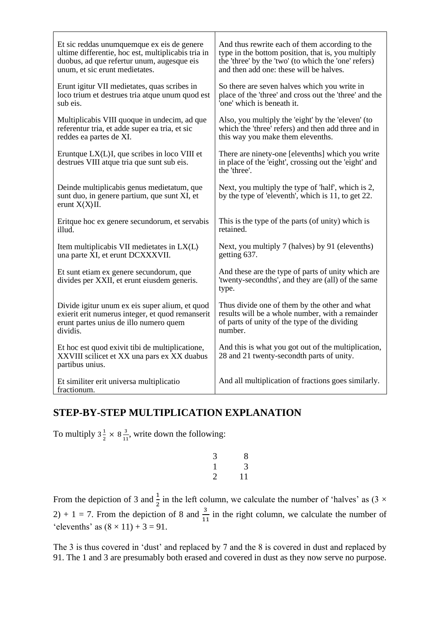| Et sic reddas unumquemque ex eis de genere                                                                        | And thus rewrite each of them according to the                                                                            |
|-------------------------------------------------------------------------------------------------------------------|---------------------------------------------------------------------------------------------------------------------------|
| ultime differentie, hoc est, multiplicabis tria in                                                                | type in the bottom position, that is, you multiply                                                                        |
| duobus, ad que refertur unum, augesque eis                                                                        | the 'three' by the 'two' (to which the 'one' refers)                                                                      |
| unum, et sic erunt medietates.                                                                                    | and then add one: these will be halves.                                                                                   |
| Erunt igitur VII medietates, quas scribes in                                                                      | So there are seven halves which you write in                                                                              |
| loco trium et destrues tria atque unum quod est                                                                   | place of the 'three' and cross out the 'three' and the                                                                    |
| sub eis.                                                                                                          | 'one' which is beneath it.                                                                                                |
| Multiplicabis VIII quoque in undecim, ad que                                                                      | Also, you multiply the 'eight' by the 'eleven' (to                                                                        |
| referentur tria, et adde super ea tria, et sic                                                                    | which the 'three' refers) and then add three and in                                                                       |
| reddes ea partes de XI.                                                                                           | this way you make them elevenths.                                                                                         |
| Eruntque $LX(L)I$ , que scribes in loco VIII et<br>destrues VIII atque tria que sunt sub eis.                     | There are ninety-one [elevenths] which you write<br>in place of the 'eight', crossing out the 'eight' and<br>the 'three'. |
| Deinde multiplicabis genus medietatum, que<br>sunt duo, in genere partium, que sunt XI, et<br>erunt $X(X)II$ .    | Next, you multiply the type of 'half', which is 2,<br>by the type of 'eleventh', which is 11, to get 22.                  |
| Eritque hoc ex genere secundorum, et servabis                                                                     | This is the type of the parts (of unity) which is                                                                         |
| illud.                                                                                                            | retained.                                                                                                                 |
| Item multiplicabis VII medietates in $LX\langle L \rangle$                                                        | Next, you multiply 7 (halves) by 91 (elevenths)                                                                           |
| una parte XI, et erunt DCXXXVII.                                                                                  | getting 637.                                                                                                              |
| Et sunt etiam ex genere secundorum, que<br>divides per XXII, et erunt eiusdem generis.                            | And these are the type of parts of unity which are<br>'twenty-secondths', and they are (all) of the same<br>type.         |
| Divide igitur unum ex eis super alium, et quod                                                                    | Thus divide one of them by the other and what                                                                             |
| exierit erit numerus integer, et quod remanserit                                                                  | results will be a whole number, with a remainder                                                                          |
| erunt partes unius de illo numero quem                                                                            | of parts of unity of the type of the dividing                                                                             |
| dividis.                                                                                                          | number.                                                                                                                   |
| Et hoc est quod exivit tibi de multiplicatione,<br>XXVIII scilicet et XX una pars ex XX duabus<br>partibus unius. | And this is what you got out of the multiplication,<br>28 and 21 twenty-secondth parts of unity.                          |
| Et similiter erit universa multiplicatio<br>fractionum.                                                           | And all multiplication of fractions goes similarly.                                                                       |

# **STEP-BY-STEP MULTIPLICATION EXPLANATION**

To multiply  $3\frac{1}{2}$  $\frac{1}{2} \times 8 \frac{3}{12}$  $\frac{3}{11}$ , write down the following:

$$
\begin{array}{ccc}\n3 & & 8 \\
1 & & 3 \\
2 & & 11\n\end{array}
$$

From the depiction of 3 and  $\frac{1}{2}$  in the left column, we calculate the number of 'halves' as (3  $\times$ 2) + 1 = 7. From the depiction of 8 and  $\frac{3}{11}$  in the right column, we calculate the number of 'elevenths' as  $(8 \times 11) + 3 = 91$ .

The 3 is thus covered in 'dust' and replaced by 7 and the 8 is covered in dust and replaced by 91. The 1 and 3 are presumably both erased and covered in dust as they now serve no purpose.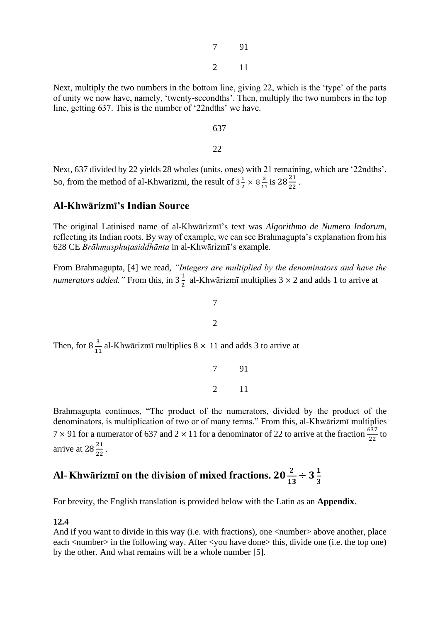7 91 2 11

Next, multiply the two numbers in the bottom line, giving 22, which is the 'type' of the parts of unity we now have, namely, 'twenty-secondths'. Then, multiply the two numbers in the top line, getting 637. This is the number of '22ndths' we have.

637

22

Next, 637 divided by 22 yields 28 wholes (units, ones) with 21 remaining, which are '22ndths'. So, from the method of al-Khwarizmi, the result of  $3\frac{1}{3}$  $\frac{1}{2} \times 8\frac{3}{12}$  $\frac{3}{11}$  is  $28\frac{21}{22}$ .

# **Al-Khwārizmī's Indian Source**

The original Latinised name of al-Khwārizmī's text was *Algorithmo de Numero Indorum*, reflecting its Indian roots. By way of example, we can see Brahmagupta's explanation from his 628 CE *Brāhmasphuṭasiddhānta* in al-Khwārizmī's example.

From Brahmagupta, [4] we read, *"Integers are multiplied by the denominators and have the numerators added.* " From this, in  $3\frac{1}{2}$  $\frac{1}{2}$  al-Khwārizmī multiplies 3  $\times$  2 and adds 1 to arrive at

7

2

Then, for  $8\frac{3}{12}$  $\frac{3}{11}$  al-Khwārizmī multiplies 8  $\times$  11 and adds 3 to arrive at

Brahmagupta continues, "The product of the numerators, divided by the product of the denominators, is multiplication of two or of many terms." From this, al-Khwārizmī multiplies  $7 \times 91$  for a numerator of 637 and  $2 \times 11$  for a denominator of 22 to arrive at the fraction  $\frac{637}{22}$  to arrive at  $28\frac{21}{22}$ .

7 91

2 11

### Al- **Khwārizmī on the division of mixed fractions.**  $20\frac{2}{13} \div 3\frac{1}{3}$ 3

For brevity, the English translation is provided below with the Latin as an **Appendix**.

## **12.4**

And if you want to divide in this way (i.e. with fractions), one  $\langle$  number > above another, place each <number> in the following way. After <you have done> this, divide one (i.e. the top one) by the other. And what remains will be a whole number [5].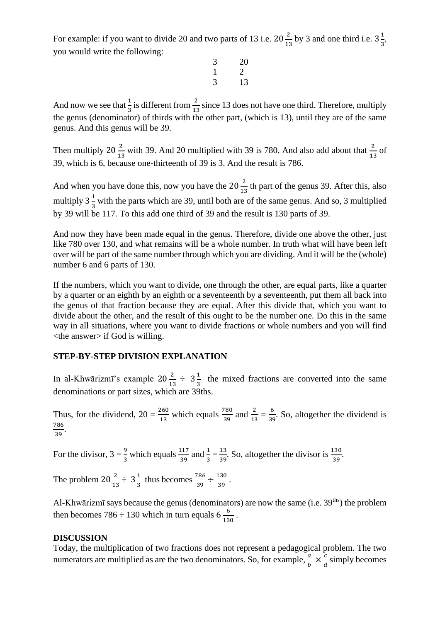For example: if you want to divide 20 and two parts of 13 i.e.  $20\frac{2}{13}$  by 3 and one third i.e.  $3\frac{1}{3}$  $\frac{1}{3}$ , you would write the following:

$$
\begin{array}{ccc}\n3 & 20 \\
1 & 2 \\
3 & 13\n\end{array}
$$

And now we see that  $\frac{1}{3}$  is different from  $\frac{2}{13}$  since 13 does not have one third. Therefore, multiply the genus (denominator) of thirds with the other part, (which is 13), until they are of the same genus. And this genus will be 39.

Then multiply 20 $\frac{2}{13}$  with 39. And 20 multiplied with 39 is 780. And also add about that  $\frac{2}{13}$  of 39, which is 6, because one-thirteenth of 39 is 3. And the result is 786.

And when you have done this, now you have the  $20\frac{2}{13}$  th part of the genus 39. After this, also multiply  $3\frac{1}{3}$  $\frac{1}{3}$  with the parts which are 39, until both are of the same genus. And so, 3 multiplied by 39 will be 117. To this add one third of 39 and the result is 130 parts of 39.

And now they have been made equal in the genus. Therefore, divide one above the other, just like 780 over 130, and what remains will be a whole number. In truth what will have been left over will be part of the same number through which you are dividing. And it will be the (whole) number 6 and 6 parts of 130.

If the numbers, which you want to divide, one through the other, are equal parts, like a quarter by a quarter or an eighth by an eighth or a seventeenth by a seventeenth, put them all back into the genus of that fraction because they are equal. After this divide that, which you want to divide about the other, and the result of this ought to be the number one. Do this in the same way in all situations, where you want to divide fractions or whole numbers and you will find <the answer> if God is willing.

# **STEP-BY-STEP DIVISION EXPLANATION**

In al-Khwārizmī's example  $20\frac{2}{13} \div 3\frac{1}{3}$  $\frac{1}{3}$  the mixed fractions are converted into the same denominations or part sizes, which are 39ths.

Thus, for the dividend,  $20 = \frac{260}{13}$  which equals  $\frac{780}{39}$  and  $\frac{2}{13} = \frac{6}{39}$  $\frac{6}{39}$ . So, altogether the dividend is 786  $\frac{1}{39}$ .

For the divisor,  $3 = \frac{9}{3}$  which equals  $\frac{117}{39}$  and  $\frac{1}{3} = \frac{13}{39}$  $\frac{13}{39}$ . So, altogether the divisor is  $\frac{130}{39}$ .

The problem  $20\frac{2}{13} \div 3\frac{1}{3}$  $\frac{1}{3}$  thus becomes  $\frac{786}{39} \div \frac{130}{39}$  $\frac{130}{39}$ .

Al-Khwārizmī says because the genus (denominators) are now the same (i.e. 39<sup>ths</sup>) the problem then becomes 786  $\div$  130 which in turn equals 6  $\frac{6}{12}$  $\frac{6}{130}$ .

#### **DISCUSSION**

Today, the multiplication of two fractions does not represent a pedagogical problem. The two numerators are multiplied as are the two denominators. So, for example,  $\frac{a}{b} \times \frac{c}{d}$  $\frac{c}{d}$  simply becomes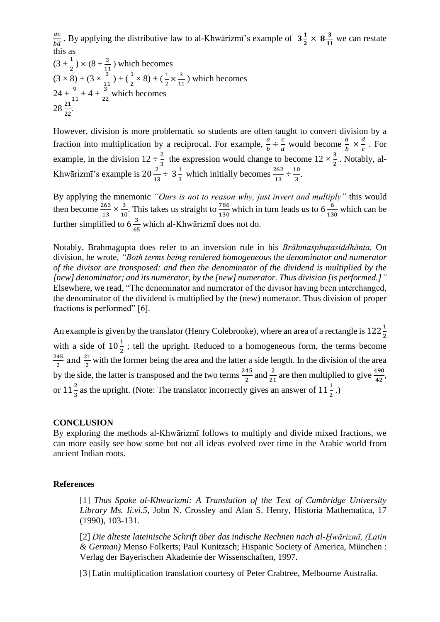ac  $\frac{ac}{bd}$ . By applying the distributive law to al-Khwārizmī's example of  $3\frac{1}{2}$  $\frac{1}{2} \times 8\frac{3}{12}$  $\frac{3}{11}$  we can restate this as

$$
(3 + \frac{1}{2}) \times (8 + \frac{3}{11})
$$
 which becomes  
\n $(3 \times 8) + (3 \times \frac{3}{11}) + (\frac{1}{2} \times 8) + (\frac{1}{2} \times \frac{3}{11})$  which becomes  
\n $24 + \frac{9}{11} + 4 + \frac{3}{22}$  which becomes  
\n $28 \frac{21}{22}$ .

However, division is more problematic so students are often taught to convert division by a fraction into multiplication by a reciprocal. For example,  $\frac{a}{b} \div \frac{c}{d}$  $\frac{c}{d}$  would become  $\frac{a}{b} \times \frac{d}{c}$  $\frac{a}{c}$ . For example, in the division  $12 \div \frac{2}{3}$  the expression would change to become  $12 \times \frac{3}{2}$  $\frac{3}{2}$ . Notably, al-Khwārizmī's example is  $20\frac{2}{13} \div 3\frac{1}{3}$  $\frac{1}{3}$  which initially becomes  $\frac{262}{13} \div \frac{10}{3}$  $\frac{10}{3}$ .

By applying the mnemonic *"Ours is not to reason why, just invert and multiply"* this would then become  $\frac{263}{13} \times \frac{3}{10}$  $\frac{3}{10}$ . This takes us straight to  $\frac{786}{130}$  which in turn leads us to 6  $\frac{6}{13}$  $\frac{6}{130}$  which can be further simplified to  $6\frac{3}{6}$  $\frac{3}{65}$  which al-Khwārizmī does not do.

Notably, Brahmagupta does refer to an inversion rule in his *Brāhmasphuṭasiddhānta.* On division, he wrote, *"Both terms being rendered homogeneous the denominator and numerator of the divisor are transposed: and then the denominator of the dividend is multiplied by the [new] denominator; and its numerator, by the [new] numerator. Thus division [is performed.]"* Elsewhere, we read, "The denominator and numerator of the divisor having been interchanged, the denominator of the dividend is multiplied by the (new) numerator. Thus division of proper fractions is performed" [6].

An example is given by the translator (Henry Colebrooke), where an area of a rectangle is  $122\frac{1}{2}$ with a side of  $10\frac{1}{2}$ ; tell the upright. Reduced to a homogeneous form, the terms become 245  $\frac{45}{2}$  and  $\frac{21}{2}$  with the former being the area and the latter a side length. In the division of the area by the side, the latter is transposed and the two terms  $\frac{245}{2}$  and  $\frac{2}{21}$  are then multiplied to give  $\frac{490}{42}$ , or  $11\frac{2}{3}$  as the upright. (Note: The translator incorrectly gives an answer of  $11\frac{1}{2}$ .)

#### **CONCLUSION**

By exploring the methods al-Khwārizmī follows to multiply and divide mixed fractions, we can more easily see how some but not all ideas evolved over time in the Arabic world from ancient Indian roots.

#### **References**

[1] *Thus Spake al-Khwarizmi: A Translation of the Text of Cambridge University Library Ms. Ii.vi.5*, John N. Crossley and Alan S. Henry, Historia Mathematica, 17 (1990), 103-131.

[2] *Die älteste lateinische Schrift über das indische Rechnen nach al-Ḫwārizmī, (Latin & German)* Menso Folkerts; Paul Kunitzsch; Hispanic Society of America, München : Verlag der Bayerischen Akademie der Wissenschaften, 1997.

[3] Latin multiplication translation courtesy of Peter Crabtree, Melbourne Australia.